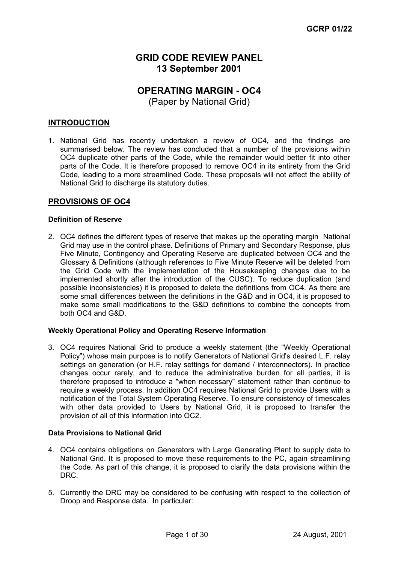# **GRID CODE REVIEW PANEL 13 September 2001**

# **OPERATING MARGIN - OC4**

(Paper by National Grid)

# **INTRODUCTION**

1. National Grid has recently undertaken a review of OC4, and the findings are summarised below. The review has concluded that a number of the provisions within OC4 duplicate other parts of the Code, while the remainder would better fit into other parts of the Code. It is therefore proposed to remove OC4 in its entirety from the Grid Code, leading to a more streamlined Code. These proposals will not affect the ability of National Grid to discharge its statutory duties.

# **PROVISIONS OF OC4**

#### **Definition of Reserve**

2. OC4 defines the different types of reserve that makes up the operating margin National Grid may use in the control phase. Definitions of Primary and Secondary Response, plus Five Minute, Contingency and Operating Reserve are duplicated between OC4 and the Glossary & Definitions (although references to Five Minute Reserve will be deleted from the Grid Code with the implementation of the Housekeeping changes due to be implemented shortly after the introduction of the CUSC). To reduce duplication (and possible inconsistencies) it is proposed to delete the definitions from OC4. As there are some small differences between the definitions in the G&D and in OC4, it is proposed to make some small modifications to the G&D definitions to combine the concepts from both OC4 and G&D.

#### **Weekly Operational Policy and Operating Reserve Information**

3. OC4 requires National Grid to produce a weekly statement (the "Weekly Operational Policy") whose main purpose is to notify Generators of National Grid's desired L.F. relay settings on generation (or H.F. relay settings for demand / interconnectors). In practice changes occur rarely, and to reduce the administrative burden for all parties, it is therefore proposed to introduce a "when necessary" statement rather than continue to require a weekly process. In addition OC4 requires National Grid to provide Users with a notification of the Total System Operating Reserve. To ensure consistency of timescales with other data provided to Users by National Grid, it is proposed to transfer the provision of all of this information into OC2.

# **Data Provisions to National Grid**

- 4. OC4 contains obligations on Generators with Large Generating Plant to supply data to National Grid. It is proposed to move these requirements to the PC, again streamlining the Code. As part of this change, it is proposed to clarify the data provisions within the DRC.
- 5. Currently the DRC may be considered to be confusing with respect to the collection of Droop and Response data. In particular: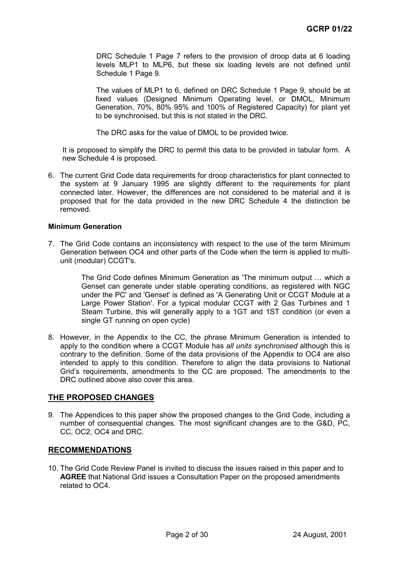DRC Schedule 1 Page 7 refers to the provision of droop data at 6 loading levels MLP1 to MLP6, but these six loading levels are not defined until Schedule 1 Page 9.

The values of MLP1 to 6, defined on DRC Schedule 1 Page 9, should be at fixed values (Designed Minimum Operating level, or DMOL, Minimum Generation, 70%, 80% 95% and 100% of Registered Capacity) for plant yet to be synchronised, but this is not stated in the DRC.

The DRC asks for the value of DMOL to be provided twice.

It is proposed to simplify the DRC to permit this data to be provided in tabular form. A new Schedule 4 is proposed.

6. The current Grid Code data requirements for droop characteristics for plant connected to the system at 9 January 1995 are slightly different to the requirements for plant connected later. However, the differences are not considered to be material and it is proposed that for the data provided in the new DRC Schedule 4 the distinction be removed.

#### **Minimum Generation**

7. The Grid Code contains an inconsistency with respect to the use of the term Minimum Generation between OC4 and other parts of the Code when the term is applied to multiunit (modular) CCGT's.

> The Grid Code defines Minimum Generation as 'The minimum output … which a Genset can generate under stable operating conditions, as registered with NGC under the PC' and 'Genset' is defined as 'A Generating Unit or CCGT Module at a Large Power Station'. For a typical modular CCGT with 2 Gas Turbines and 1 Steam Turbine, this will generally apply to a 1GT and 1ST condition (or even a single GT running on open cycle)

8. However, in the Appendix to the CC, the phrase Minimum Generation is intended to apply to the condition where a CCGT Module has *all units synchronised* although this is contrary to the definition. Some of the data provisions of the Appendix to OC4 are also intended to apply to this condition. Therefore to align the data provisions to National Grid's requirements, amendments to the CC are proposed. The amendments to the DRC outlined above also cover this area.

# **THE PROPOSED CHANGES**

9. The Appendices to this paper show the proposed changes to the Grid Code, including a number of consequential changes. The most significant changes are to the G&D, PC, CC, OC2, OC4 and DRC.

#### **RECOMMENDATIONS**

10. The Grid Code Review Panel is invited to discuss the issues raised in this paper and to **AGREE** that National Grid issues a Consultation Paper on the proposed amendments related to OC4.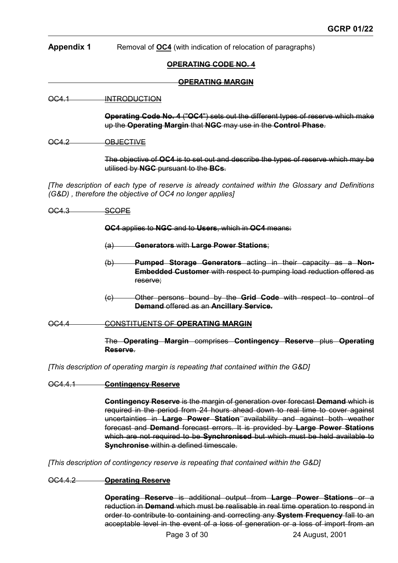# **Appendix 1** Removal of **OC4** (with indication of relocation of paragraphs)

#### **OPERATING CODE NO. 4**

#### **OPERATING MARGIN**

#### OC4.1 INTRODUCTION

**Operating Code No. 4** ("**OC4**") sets out the different types of reserve which make up the **Operating Margin** that **NGC** may use in the **Control Phase**.

#### OC4.2 OBJECTIVE

The objective of **OC4** is to set out and describe the types of reserve which may be utilised by **NGC** pursuant to the **BCs**.

*[The description of each type of reserve is already contained within the Glossary and Definitions (G&D) , therefore the objective of OC4 no longer applies]*

OC4.3 SCOPE

**OC4** applies to **NGC** and to **Users**, which in **OC4** means:

(a) **Generators** with **Large Power Stations**;

- (b) **Pumped Storage Generators** acting in their capacity as a **Non-Embedded Customer** with respect to pumping load reduction offered as reserve;
- (c) Other persons bound by the **Grid Code** with respect to control of **Demand** offered as an **Ancillary Service.**

#### OC4.4 CONSTITUENTS OF **OPERATING MARGIN**

#### The **Operating Margin** comprises **Contingency Reserve** plus **Operating Reserve**.

*[This description of operating margin is repeating that contained within the G&D]*

#### OC4.4.1 **Contingency Reserve**

**Contingency Reserve** is the margin of generation over forecast **Demand** which is required in the period from 24 hours ahead down to real time to cover against uncertainties in **Large Power Station** availability and against both weather forecast and **Demand** forecast errors. It is provided by **Large Power Stations** which are not required to be **Synchronised** but which must be held available to **Synchronise** within a defined timescale.

*[This description of contingency reserve is repeating that contained within the G&D]*

#### OC4.4.2 **Operating Reserve**

**Operating Reserve** is additional output from **Large Power Stations** or a reduction in **Demand** which must be realisable in real time operation to respond in order to contribute to containing and correcting any **System Frequency** fall to an acceptable level in the event of a loss of generation or a loss of import from an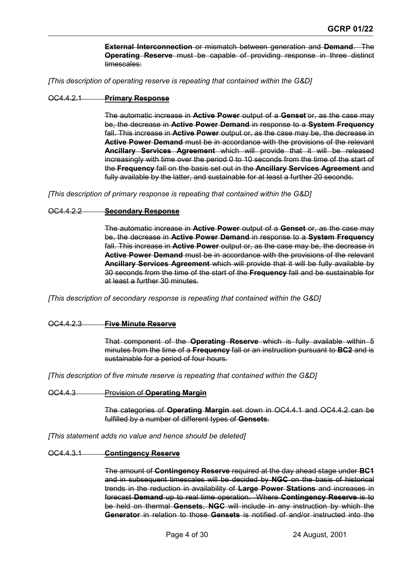**External Interconnection** or mismatch between generation and **Demand**. The **Operating Reserve** must be capable of providing response in three distinct timescales:

*[This description of operating reserve is repeating that contained within the G&D]*

#### OC4.4.2.1 **Primary Response**

The automatic increase in **Active Power** output of a **Genset** or, as the case may be, the decrease in **Active Power Demand** in response to a **System Frequency** fall. This increase in **Active Power** output or, as the case may be, the decrease in **Active Power Demand** must be in accordance with the provisions of the relevant **Ancillary Services Agreement** which will provide that it will be released increasingly with time over the period 0 to 10 seconds from the time of the start of the **Frequency** fall on the basis set out in the **Ancillary Services Agreement** and fully available by the latter, and sustainable for at least a further 20 seconds.

*[This description of primary response is repeating that contained within the G&D]*

#### OC4.4.2.2 **Secondary Response**

The automatic increase in **Active Power** output of a **Genset** or, as the case may be, the decrease in **Active Power Demand** in response to a **System Frequency** fall. This increase in **Active Power** output or, as the case may be, the decrease in **Active Power Demand** must be in accordance with the provisions of the relevant **Ancillary Services Agreement** which will provide that it will be fully available by 30 seconds from the time of the start of the **Frequency** fall and be sustainable for at least a further 30 minutes.

*[This description of secondary response is repeating that contained within the G&D]*

#### OC4.4.2.3 **Five Minute Reserve**

That component of the **Operating Reserve** which is fully available within 5 minutes from the time of a **Frequency** fall or an instruction pursuant to **BC2** and is sustainable for a period of four hours.

*[This description of five minute reserve is repeating that contained within the G&D]*

#### OC4.4.3 Provision of **Operating Margin**

The categories of **Operating Margin** set down in OC4.4.1 and OC4.4.2 can be fulfilled by a number of different types of **Gensets**.

*[This statement adds no value and hence should be deleted]*

#### OC4.4.3.1 **Contingency Reserve**

The amount of **Contingency Reserve** required at the day ahead stage under **BC1** and in subsequent timescales will be decided by **NGC** on the basis of historical trends in the reduction in availability of **Large Power Stations** and increases in forecast **Demand** up to real time operation. Where **Contingency Reserve** is to be held on thermal **Gensets**, **NGC** will include in any instruction by which the **Generator** in relation to those **Gensets** is notified of and/or instructed into the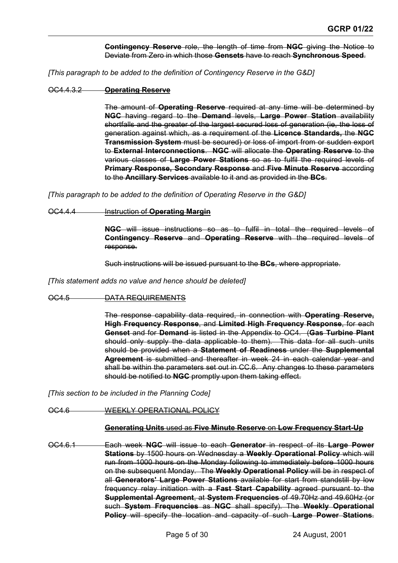**Contingency Reserve** role, the length of time from **NGC** giving the Notice to Deviate from Zero in which those **Gensets** have to reach **Synchronous Speed**.

*[This paragraph to be added to the definition of Contingency Reserve in the G&D]*

#### OC4.4.3.2 **Operating Reserve**

The amount of **Operating Reserve** required at any time will be determined by **NGC** having regard to the **Demand** levels, **Large Power Station** availability shortfalls and the greater of the largest secured loss of generation (ie, the loss of generation against which, as a requirement of the **Licence Standards,** the **NGC Transmission System** must be secured) or loss of import from or sudden export to **External Interconnections**. **NGC** will allocate the **Operating Reserve** to the various classes of **Large Power Stations** so as to fulfil the required levels of **Primary Response, Secondary Response** and **Five Minute Reserve** according to the **Ancillary Services** available to it and as provided in the **BCs**.

*[This paragraph to be added to the definition of Operating Reserve in the G&D]*

#### OC4.4.4 Instruction of **Operating Margin**

**NGC** will issue instructions so as to fulfil in total the required levels of **Contingency Reserve** and **Operating Reserve** with the required levels of response.

Such instructions will be issued pursuant to the **BCs**, where appropriate.

*[This statement adds no value and hence should be deleted]*

#### OC4.5 DATA REQUIREMENTS

The response capability data required, in connection with **Operating Reserve, High Frequency Response**, and **Limited High Frequency Response**, for each **Genset** and for **Demand** is listed in the Appendix to OC4. (**Gas Turbine Plant** should only supply the data applicable to them). This data for all such units should be provided when a **Statement of Readiness** under the **Supplemental Agreement** is submitted and thereafter in week 24 in each calendar year and shall be within the parameters set out in CC.6. Any changes to these parameters should be notified to **NGC** promptly upon them taking effect.

*[This section to be included in the Planning Code]*

OC4.6 WEEKLY OPERATIONAL POLICY

#### **Generating Units** used as **Five Minute Reserve** on **Low Frequency Start-Up**

OC4.6.1 Each week **NGC** will issue to each **Generator** in respect of its **Large Power Stations** by 1500 hours on Wednesday a **Weekly Operational Policy** which will run from 1000 hours on the Monday following to immediately before 1000 hours on the subsequent Monday. The **Weekly Operational Policy** will be in respect of all **Generators' Large Power Stations** available for start from standstill by low frequency relay initiation with a **Fast Start Capability** agreed pursuant to the **Supplemental Agreement**, at **System Frequencies** of 49.70Hz and 49.60Hz (or such **System Frequencies** as **NGC** shall specify). The **Weekly Operational Policy** will specify the location and capacity of such **Large Power Stations**.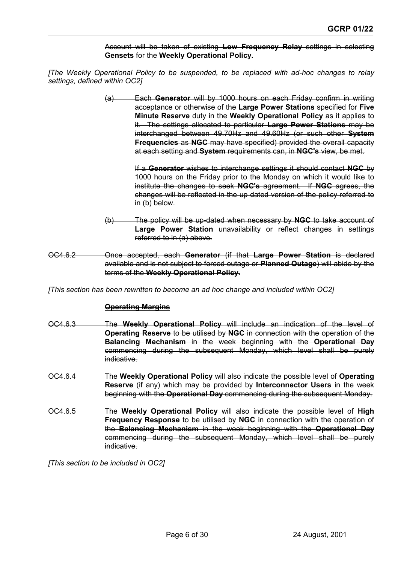Account will be taken of existing **Low Frequency Relay** settings in selecting **Gensets** for the **Weekly Operational Policy.**

*[The Weekly Operational Policy to be suspended, to be replaced with ad-hoc changes to relay settings, defined within OC2]*

> (a) Each **Generator** will by 1000 hours on each Friday confirm in writing acceptance or otherwise of the **Large Power Stations** specified for **Five Minute Reserve** duty in the **Weekly Operational Policy** as it applies to it. The settings allocated to particular **Large Power Stations** may be interchanged between 49.70Hz and 49.60Hz (or such other **System Frequencies** as **NGC** may have specified) provided the overall capacity at each setting and **System** requirements can, in **NGC's** view, be met.

> > If a **Generator** wishes to interchange settings it should contact **NGC** by 1000 hours on the Friday prior to the Monday on which it would like to institute the changes to seek **NGC's** agreement. If **NGC** agrees, the changes will be reflected in the up-dated version of the policy referred to in (b) below.

- (b) The policy will be up-dated when necessary by **NGC** to take account of **Large Power Station** unavailability or reflect changes in settings referred to in (a) above.
- OC4.6.2 Once accepted, each **Generator** (if that **Large Power Station** is declared available and is not subject to forced outage or **Planned Outage**) will abide by the terms of the **Weekly Operational Policy.**

*[This section has been rewritten to become an ad hoc change and included within OC2]*

#### **Operating Margins**

- OC4.6.3 The **Weekly Operational Policy** will include an indication of the level of **Operating Reserve** to be utilised by **NGC** in connection with the operation of the **Balancing Mechanism** in the week beginning with the **Operational Day** commencing during the subsequent Monday, which level shall be purely indicative.
- OC4.6.4 The **Weekly Operational Policy** will also indicate the possible level of **Operating Reserve** (if any) which may be provided by **Interconnector Users** in the week beginning with the **Operational Day** commencing during the subsequent Monday.
- OC4.6.5 The **Weekly Operational Policy** will also indicate the possible level of **High Frequency Response** to be utilised by **NGC** in connection with the operation of the **Balancing Mechanism** in the week beginning with the **Operational Day** commencing during the subsequent Monday, which level shall be purely indicative.

*[This section to be included in OC2]*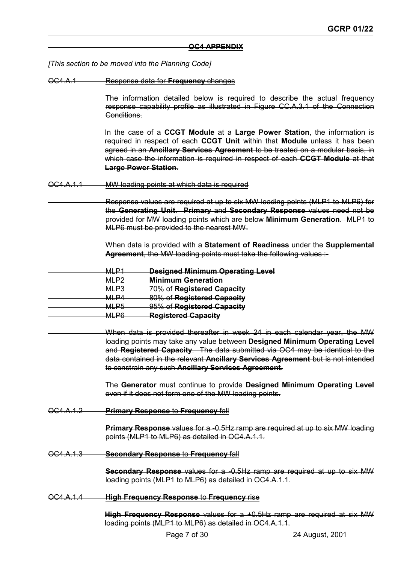#### **OC4 APPENDIX**

*[This section to be moved into the Planning Code]*

OC4.A.1 Response data for **Frequency** changes

The information detailed below is required to describe the actual frequency response capability profile as illustrated in Figure CC.A.3.1 of the Connection Conditions.

In the case of a **CCGT Module** at a **Large Power Station**, the information is required in respect of each **CCGT Unit** within that **Module** unless it has been agreed in an **Ancillary Services Agreement** to be treated on a modular basis, in which case the information is required in respect of each **CCGT Module** at that **Large Power Station**.

OC4.A.1.1 MW loading points at which data is required

 Response values are required at up to six MW loading points (MLP1 to MLP6) for the **Generating Unit**. **Primary** and **Secondary Response** values need not be provided for MW loading points which are below **Minimum Generation**. MLP1 to MLP6 must be provided to the nearest MW.

- When data is provided with a **Statement of Readiness** under the **Supplemental Agreement**, the MW loading points must take the following values :-
- MLP1 **Designed Minimum Operating Level** MLP2 **Minimum Generation** MLP3 70% of **Registered Capacity** MLP4 80% of **Registered Capacity** MLP5 95% of **Registered Capacity**
	- MLP6 **Registered Capacity**
	- When data is provided thereafter in week 24 in each calendar year, the MW loading points may take any value between **Designed Minimum Operating Level** and **Registered Capacity**. The data submitted via OC4 may be identical to the data contained in the relevant **Ancillary Services Agreement** but is not intended to constrain any such **Ancillary Services Agreement**.

 The **Generator** must continue to provide **Designed Minimum Operating Level** even if it does not form one of the MW loading points.

OC4.A.1.2 **Primary Response** to **Frequency** fall

**Primary Response** values for a -0.5Hz ramp are required at up to six MW loading points (MLP1 to MLP6) as detailed in OC4.A.1.1.

OC4.A.1.3 **Secondary Response** to **Frequency** fall

**Secondary Response** values for a -0.5Hz ramp are required at up to six MW loading points (MLP1 to MLP6) as detailed in OC4.A.1.1.

OC4.A.1.4 **High Frequency Response** to **Frequency** rise

**High Frequency Response** values for a +0.5Hz ramp are required at six MW loading points (MLP1 to MLP6) as detailed in OC4.A.1.1.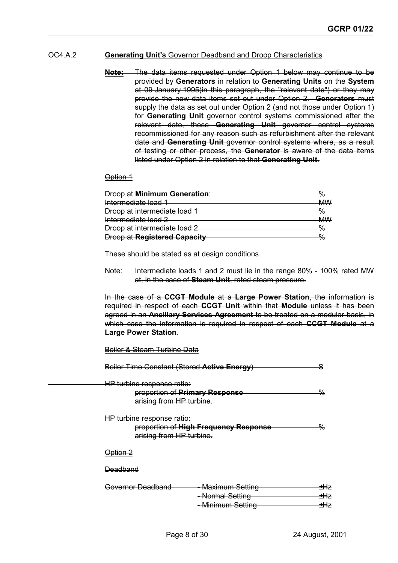#### OC4.A.2 **Generating Unit's** Governor Deadband and Droop Characteristics

**Note:** The data items requested under Option 1 below may continue to be provided by **Generators** in relation to **Generating Units** on the **System** at 09 January 1995(in this paragraph, the "relevant date") or they may provide the new data items set out under Option 2. **Generators** must supply the data as set out under Option 2 (and not those under Option 1) for **Generating Unit** governor control systems commissioned after the relevant date, those **Generating Unit** governor control systems recommissioned for any reason such as refurbishment after the relevant date and **Generating Unit** governor control systems where, as a result of testing or other process, the **Generator** is aware of the data items listed under Option 2 in relation to that **Generating Unit**.

#### Option 1

| <b>Droop at Minimum Generation:</b> |               |
|-------------------------------------|---------------|
| Intermediate load 1                 |               |
| Droop at intermediate load 1        | $\frac{9}{6}$ |
| Intermediate load 2                 |               |
| Droop at intermediate load 2        |               |
| <b>Droop at Registered Capacity</b> |               |

These should be stated as at design conditions.

Note: Intermediate loads 1 and 2 must lie in the range 80% - 100% rated MW at, in the case of **Steam Unit**, rated steam pressure.

In the case of a **CCGT Module** at a **Large Power Station**, the information is required in respect of each **CCGT Unit** within that **Module** unless it has been agreed in an **Ancillary Services Agreement** to be treated on a modular basis, in which case the information is required in respect of each **CCGT Module** at a **Large Power Station**.

#### Boiler & Steam Turbine Data

| Boiler Time Constant (Stored Active Energy)            |                                                                    | c                         |
|--------------------------------------------------------|--------------------------------------------------------------------|---------------------------|
| HP turbine response ratio:<br>arising from HP turbine. | proportion of Primary Response                                     | $\%$                      |
| HP turbine response ratio:<br>arising from HP turbine. | proportion of High Frequency Response                              | %                         |
| Option 2                                               |                                                                    |                           |
| Deadband                                               |                                                                    |                           |
| Governor Deadband                                      | <b>Maximum Setting</b><br><b>Normal Setting</b><br>Minimum Setting | ±Hz<br><u> ±Hz</u><br>±Hz |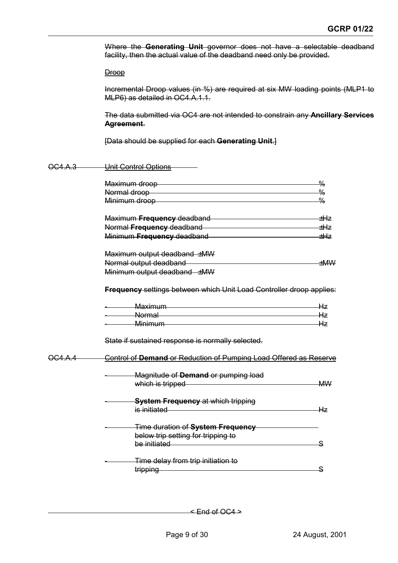Where the **Generating Unit** governor does not have a selectable deadband facility, then the actual value of the deadband need only be provided.

**Droop** 

Incremental Droop values (in %) are required at six MW loading points (MLP1 to MLP6) as detailed in OC4.A.1.1.

The data submitted via OC4 are not intended to constrain any **Ancillary Services Agreement**.

[Data should be supplied for each **Generating Unit**.]

| OC4.A.3          | Unit Control Options                                                                                                                                                                                                                                                              |                 |  |  |  |
|------------------|-----------------------------------------------------------------------------------------------------------------------------------------------------------------------------------------------------------------------------------------------------------------------------------|-----------------|--|--|--|
|                  | Maximum droop                                                                                                                                                                                                                                                                     | $\frac{0}{0}$   |  |  |  |
|                  | Normal droop                                                                                                                                                                                                                                                                      | $\frac{0}{0}$   |  |  |  |
|                  | Minimum droop                                                                                                                                                                                                                                                                     | $\frac{0}{0}$   |  |  |  |
|                  | Maximum Frequency deadband<br>Maximum Trequency deadband                                                                                                                                                                                                                          | <del>±H</del> z |  |  |  |
|                  | Normal Frequency deadband<br>Normal Frequency deadband                                                                                                                                                                                                                            | <del>tHz</del>  |  |  |  |
|                  | Minimum Frequency deadband<br>Minimum Frequency deadband                                                                                                                                                                                                                          | $\pm Hz$        |  |  |  |
|                  | Maximum output deadband ±MW                                                                                                                                                                                                                                                       |                 |  |  |  |
|                  | Normal output deadband                                                                                                                                                                                                                                                            | ±MW             |  |  |  |
|                  | Minimum output deadband ±MW                                                                                                                                                                                                                                                       |                 |  |  |  |
|                  | Frequency settings between which Unit Load Controller droop applies:                                                                                                                                                                                                              |                 |  |  |  |
|                  | <b>Maximum Maximum</b>                                                                                                                                                                                                                                                            | Hz.             |  |  |  |
|                  | <b>Example 2018</b> Normal More and the Contract of the Contract of the Contract of the Contract of the Contract of the Contract of the Contract of the Contract of the Contract of the Contract of the Contract of the Contract of                                               | -Hz             |  |  |  |
|                  | <u>Minimum and the material control of the material control of the material control of the material control of the material control of the material control of the material control of the material control of the material cont</u>                                              | Hz              |  |  |  |
|                  | State if sustained response is normally selected.                                                                                                                                                                                                                                 |                 |  |  |  |
| <del>OC4.A</del> | Control of Demand or Reduction of Pumping Load Offered as Reserve                                                                                                                                                                                                                 |                 |  |  |  |
|                  | Magnitude of Demand or pumping load                                                                                                                                                                                                                                               |                 |  |  |  |
|                  | which is tripped                                                                                                                                                                                                                                                                  | <b>MW</b>       |  |  |  |
|                  | <b>System Frequency at which tripping</b><br>is initiated <b>in the contract of the contract of the contract of the contract of the contract of the contract of the contract of the contract of the contract of the contract of the contract of the contract of the contract </b> | Hz              |  |  |  |
|                  |                                                                                                                                                                                                                                                                                   |                 |  |  |  |
|                  | Time duration of System Frequency                                                                                                                                                                                                                                                 |                 |  |  |  |
|                  | below trip setting for tripping to                                                                                                                                                                                                                                                |                 |  |  |  |
|                  | be initiated <b>be initiated</b>                                                                                                                                                                                                                                                  | S               |  |  |  |
|                  | Time delay from trip initiation to                                                                                                                                                                                                                                                |                 |  |  |  |
|                  | tripping <b>contains the contract of the contract of the contract of the contract of the contract of the contract</b>                                                                                                                                                             | S               |  |  |  |

 $\leq$  End of OC4  $\geq$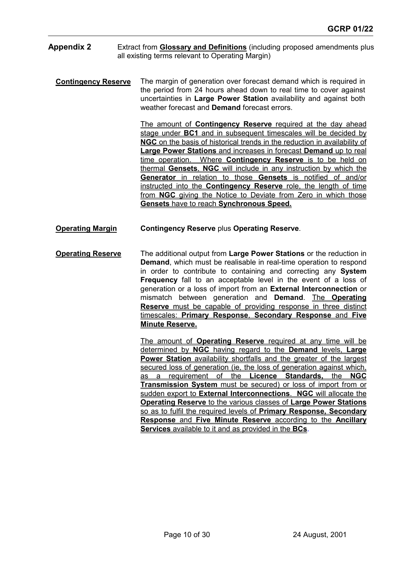- **Appendix 2** Extract from **Glossary and Definitions** (including proposed amendments plus all existing terms relevant to Operating Margin)
	- **Contingency Reserve** The margin of generation over forecast demand which is required in the period from 24 hours ahead down to real time to cover against uncertainties in **Large Power Station** availability and against both weather forecast and **Demand** forecast errors.

The amount of **Contingency Reserve** required at the day ahead stage under **BC1** and in subsequent timescales will be decided by **NGC** on the basis of historical trends in the reduction in availability of **Large Power Stations** and increases in forecast **Demand** up to real time operation. Where **Contingency Reserve** is to be held on thermal **Gensets**, **NGC** will include in any instruction by which the **Generator** in relation to those **Gensets** is notified of and/or instructed into the **Contingency Reserve** role, the length of time from **NGC** giving the Notice to Deviate from Zero in which those **Gensets** have to reach **Synchronous Speed.**

- **Operating Margin Contingency Reserve plus Operating Reserve.**
- **Operating Reserve** The additional output from **Large Power Stations** or the reduction in **Demand**, which must be realisable in real-time operation to respond in order to contribute to containing and correcting any **System Frequency** fall to an acceptable level in the event of a loss of generation or a loss of import from an **External Interconnection** or mismatch between generation and **Demand**. The **Operating Reserve** must be capable of providing response in three distinct timescales: **Primary Response**, **Secondary Response** and **Five Minute Reserve.**

The amount of **Operating Reserve** required at any time will be determined by **NGC** having regard to the **Demand** levels, **Large Power Station** availability shortfalls and the greater of the largest secured loss of generation (ie, the loss of generation against which, as a requirement of the **Licence Standards,** the **NGC Transmission System** must be secured) or loss of import from or sudden export to **External Interconnections**. **NGC** will allocate the **Operating Reserve** to the various classes of **Large Power Stations** so as to fulfil the required levels of **Primary Response, Secondary Response** and **Five Minute Reserve** according to the **Ancillary Services** available to it and as provided in the **BCs**.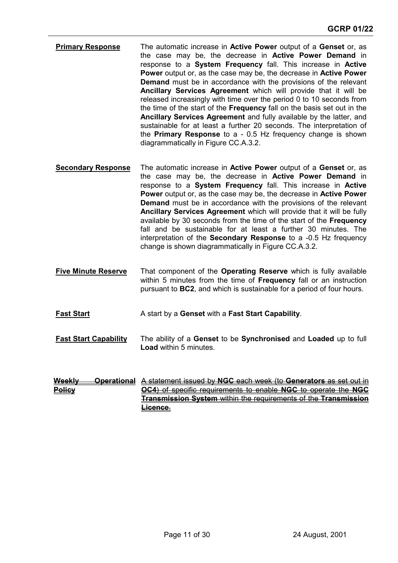- **Primary Response** The automatic increase in **Active Power** output of a **Genset** or, as the case may be, the decrease in **Active Power Demand** in response to a **System Frequency** fall. This increase in **Active Power** output or, as the case may be, the decrease in **Active Power Demand** must be in accordance with the provisions of the relevant **Ancillary Services Agreement** which will provide that it will be released increasingly with time over the period 0 to 10 seconds from the time of the start of the **Frequency** fall on the basis set out in the **Ancillary Services Agreement** and fully available by the latter, and sustainable for at least a further 20 seconds. The interpretation of the **Primary Response** to a - 0.5 Hz frequency change is shown diagrammatically in Figure CC.A.3.2.
- **Secondary Response** The automatic increase in **Active Power** output of a **Genset** or, as the case may be, the decrease in **Active Power Demand** in response to a **System Frequency** fall. This increase in **Active Power** output or, as the case may be, the decrease in **Active Power Demand** must be in accordance with the provisions of the relevant **Ancillary Services Agreement** which will provide that it will be fully available by 30 seconds from the time of the start of the **Frequency** fall and be sustainable for at least a further 30 minutes. The interpretation of the **Secondary Response** to a -0.5 Hz frequency change is shown diagrammatically in Figure CC.A.3.2.
- **Five Minute Reserve** That component of the **Operating Reserve** which is fully available within 5 minutes from the time of **Frequency** fall or an instruction pursuant to **BC2**, and which is sustainable for a period of four hours.
- **Fast Start** A start by a **Genset** with a Fast Start Capability.
- **Fast Start Capability** The ability of a **Genset** to be **Synchronised** and **Loaded** up to full **Load** within 5 minutes.
- **Weekly Operational** A statement issued by **NGC** each week (to **Generators** as set out in **Policy OC4**) of specific requirements to enable **NGC** to operate the **NGC Transmission System** within the requirements of the **Transmission Licence**.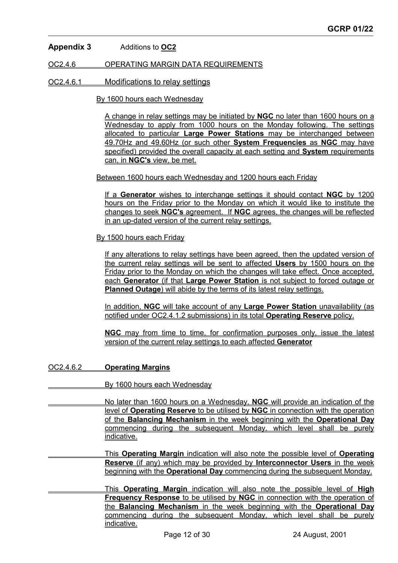# **Appendix 3** Additions to **OC2**

OC2.4.6 OPERATING MARGIN DATA REQUIREMENTS

#### OC2.4.6.1 Modifications to relay settings

By 1600 hours each Wednesday

A change in relay settings may be initiated by **NGC** no later than 1600 hours on a Wednesday to apply from 1000 hours on the Monday following. The settings allocated to particular **Large Power Stations** may be interchanged between 49.70Hz and 49.60Hz (or such other **System Frequencies** as **NGC** may have specified) provided the overall capacity at each setting and **System** requirements can, in **NGC's** view, be met.

Between 1600 hours each Wednesday and 1200 hours each Friday

If a **Generator** wishes to interchange settings it should contact **NGC** by 1200 hours on the Friday prior to the Monday on which it would like to institute the changes to seek **NGC's** agreement. If **NGC** agrees, the changes will be reflected in an up-dated version of the current relay settings.

By 1500 hours each Friday

If any alterations to relay settings have been agreed, then the updated version of the current relay settings will be sent to affected **Users** by 1500 hours on the Friday prior to the Monday on which the changes will take effect. Once accepted, each **Generator** (if that **Large Power Station** is not subject to forced outage or **Planned Outage**) will abide by the terms of its latest relay settings.

In addition, **NGC** will take account of any **Large Power Station** unavailability (as notified under OC2.4.1.2 submissions) in its total **Operating Reserve** policy.

**NGC** may from time to time, for confirmation purposes only, issue the latest version of the current relay settings to each affected **Generator**

OC2.4.6.2 **Operating Margins**

By 1600 hours each Wednesday

 No later than 1600 hours on a Wednesday, **NGC** will provide an indication of the level of **Operating Reserve** to be utilised by **NGC** in connection with the operation of the **Balancing Mechanism** in the week beginning with the **Operational Day** commencing during the subsequent Monday, which level shall be purely indicative.

 This **Operating Margin** indication will also note the possible level of **Operating Reserve** (if any) which may be provided by **Interconnector Users** in the week beginning with the **Operational Day** commencing during the subsequent Monday.

 This **Operating Margin** indication will also note the possible level of **High Frequency Response** to be utilised by **NGC** in connection with the operation of the **Balancing Mechanism** in the week beginning with the **Operational Day** commencing during the subsequent Monday, which level shall be purely indicative.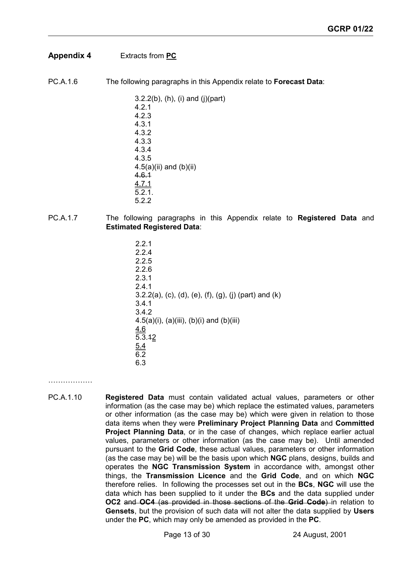# **Appendix 4** Extracts from **PC**

PC.A.1.6 The following paragraphs in this Appendix relate to **Forecast Data**:

3.2.2(b), (h), (i) and (j)(part) 4.2.1 4.2.3 4.3.1 4.3.2 4.3.3 4.3.4 4.3.5  $4.5(a)(ii)$  and  $(b)(ii)$ 4.6.1 4.7.1 5.2.1. 5.2.2

- PC.A.1.7 The following paragraphs in this Appendix relate to **Registered Data** and **Estimated Registered Data**:
	- 2.2.1 2.2.4 2.2.5 2.2.6 2.3.1 2.4.1 3.2.2(a), (c), (d), (e), (f), (g), (j) (part) and (k) 3.4.1 3.4.2 4.5(a)(i), (a)(iii), (b)(i) and (b)(iii) 4.6  $\overline{5.3.12}$ 5.4 6.2 6.3

……………

PC.A.1.10 **Registered Data** must contain validated actual values, parameters or other information (as the case may be) which replace the estimated values, parameters or other information (as the case may be) which were given in relation to those data items when they were **Preliminary Project Planning Data** and **Committed Project Planning Data**, or in the case of changes, which replace earlier actual values, parameters or other information (as the case may be). Until amended pursuant to the **Grid Code**, these actual values, parameters or other information (as the case may be) will be the basis upon which **NGC** plans, designs, builds and operates the **NGC Transmission System** in accordance with, amongst other things, the **Transmission Licence** and the **Grid Code**, and on which **NGC** therefore relies. In following the processes set out in the **BCs**, **NGC** will use the data which has been supplied to it under the **BCs** and the data supplied under **OC2** and **OC4** (as provided in those sections of the **Grid Code**) in relation to **Gensets**, but the provision of such data will not alter the data supplied by **Users** under the **PC**, which may only be amended as provided in the **PC**.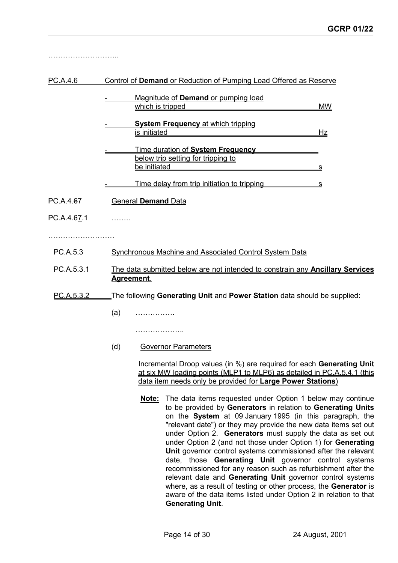………………………………

#### PC.A.4.6 Control of **Demand** or Reduction of Pumping Load Offered as Reserve

| Magnitude of <b>Demand</b> or pumping load  |    |
|---------------------------------------------|----|
| which is tripped                            |    |
| <b>System Frequency at which tripping</b>   |    |
| is initiated                                | 87 |
| Time duration of System Frequency           |    |
| below trip setting for tripping to          |    |
| be initiated                                |    |
| Time delay from trip initiation to tripping |    |

- PC.A.4.67 General **Demand** Data
- PC.A.4.67.1 ……..

……………………………………

- PC.A.5.3 Synchronous Machine and Associated Control System Data
- PC.A.5.3.1 The data submitted below are not intended to constrain any **Ancillary Services Agreement**.

# PC.A.5.3.2 The following **Generating Unit** and **Power Station** data should be supplied:

(a) …………….

………………………

(d) Governor Parameters

Incremental Droop values (in %) are required for each **Generating Unit** at six MW loading points (MLP1 to MLP6) as detailed in PC.A.5.4.1 (this data item needs only be provided for **Large Power Stations**)

**Note:** The data items requested under Option 1 below may continue to be provided by **Generators** in relation to **Generating Units** on the **System** at 09 January 1995 (in this paragraph, the "relevant date") or they may provide the new data items set out under Option 2. **Generators** must supply the data as set out under Option 2 (and not those under Option 1) for **Generating Unit** governor control systems commissioned after the relevant date, those **Generating Unit** governor control systems recommissioned for any reason such as refurbishment after the relevant date and **Generating Unit** governor control systems where, as a result of testing or other process, the **Generator** is aware of the data items listed under Option 2 in relation to that **Generating Unit**.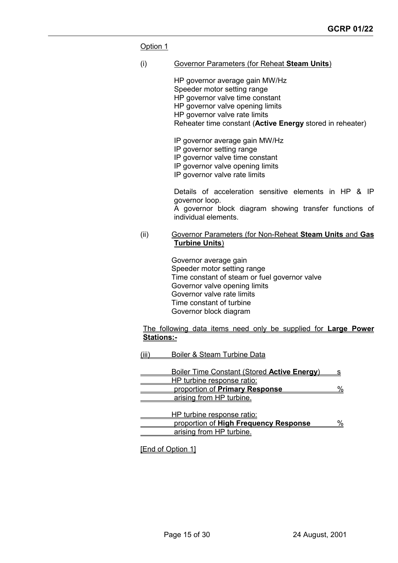Option 1

(i) Governor Parameters (for Reheat **Steam Units**)

HP governor average gain MW/Hz Speeder motor setting range HP governor valve time constant HP governor valve opening limits HP governor valve rate limits Reheater time constant (**Active Energy** stored in reheater) IP governor average gain MW/Hz IP governor setting range

IP governor valve time constant

IP governor valve opening limits

IP governor valve rate limits

Details of acceleration sensitive elements in HP & IP governor loop.

A governor block diagram showing transfer functions of individual elements.

(ii) Governor Parameters (for Non-Reheat **Steam Units** and **Gas Turbine Units**)

> Governor average gain Speeder motor setting range Time constant of steam or fuel governor valve Governor valve opening limits Governor valve rate limits Time constant of turbine Governor block diagram

The following data items need only be supplied for **Large Power Stations:-**

(iii) Boiler & Steam Turbine Data

| <b>Boiler Time Constant (Stored Active Energy)</b> |  |
|----------------------------------------------------|--|
| HP turbine response ratio:                         |  |
| proportion of Primary Response                     |  |
| arising from HP turbine.                           |  |
|                                                    |  |

| HP turbine response ratio:            |  |
|---------------------------------------|--|
| proportion of High Frequency Response |  |
| arising from HP turbine.              |  |

[End of Option 1]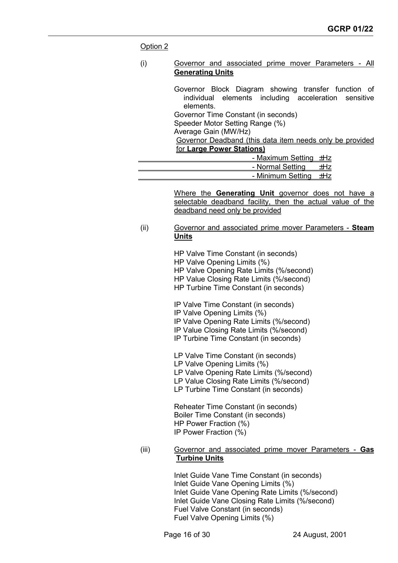#### Option 2

#### (i) Governor and associated prime mover Parameters - All **Generating Units**

Governor Block Diagram showing transfer function of individual elements including acceleration sensitive elements. Governor Time Constant (in seconds) Speeder Motor Setting Range (%) Average Gain (MW/Hz) Governor Deadband (this data item needs only be provided for **Large Power Stations)** - Maximum Setting ±Hz

| - Normal Setting      |  |
|-----------------------|--|
| - Minimum Setting +Hz |  |

Where the **Generating Unit** governor does not have a selectable deadband facility, then the actual value of the deadband need only be provided

(ii) Governor and associated prime mover Parameters - **Steam Units**

> HP Valve Time Constant (in seconds) HP Valve Opening Limits (%) HP Valve Opening Rate Limits (%/second) HP Value Closing Rate Limits (%/second) HP Turbine Time Constant (in seconds)

IP Valve Time Constant (in seconds)

- IP Valve Opening Limits (%)
- IP Valve Opening Rate Limits (%/second)
- IP Value Closing Rate Limits (%/second)
- IP Turbine Time Constant (in seconds)

LP Valve Time Constant (in seconds) LP Valve Opening Limits (%) LP Valve Opening Rate Limits (%/second) LP Value Closing Rate Limits (%/second) LP Turbine Time Constant (in seconds)

Reheater Time Constant (in seconds) Boiler Time Constant (in seconds) HP Power Fraction (%) IP Power Fraction (%)

(iii) Governor and associated prime mover Parameters - **Gas Turbine Units**

> Inlet Guide Vane Time Constant (in seconds) Inlet Guide Vane Opening Limits (%) Inlet Guide Vane Opening Rate Limits (%/second) Inlet Guide Vane Closing Rate Limits (%/second) Fuel Valve Constant (in seconds) Fuel Valve Opening Limits (%)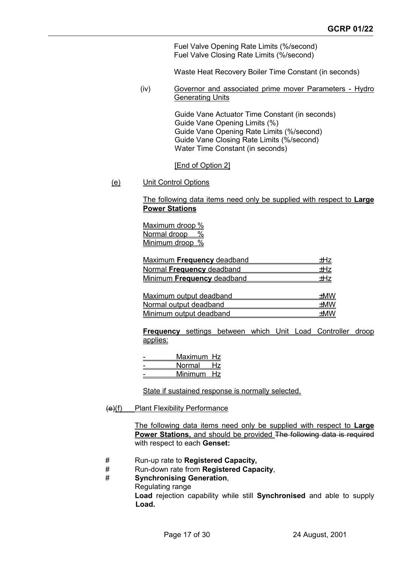Fuel Valve Opening Rate Limits (%/second) Fuel Valve Closing Rate Limits (%/second)

Waste Heat Recovery Boiler Time Constant (in seconds)

(iv) Governor and associated prime mover Parameters - Hydro Generating Units

> Guide Vane Actuator Time Constant (in seconds) Guide Vane Opening Limits (%) Guide Vane Opening Rate Limits (%/second) Guide Vane Closing Rate Limits (%/second) Water Time Constant (in seconds)

#### [End of Option 2]

(e) Unit Control Options

#### The following data items need only be supplied with respect to **Large Power Stations**

Maximum droop % Normal droop % Minimum droop %

| Maximum Frequency deadband        |     |
|-----------------------------------|-----|
| Normal Frequency deadband         | +Hz |
| <b>Minimum Frequency deadband</b> | +Hz |

| Maximum output deadband | +MW |
|-------------------------|-----|
| Normal output deadband  | +MW |
| Minimum output deadband | +MW |

**Frequency** settings between which Unit Load Controller droop applies:

| Maximum Hz<br>Normal | Hz  |
|----------------------|-----|
| Minimum              | Hz. |

State if sustained response is normally selected.

#### (e)(f) Plant Flexibility Performance

The following data items need only be supplied with respect to **Large Power Stations,** and should be provided The following data is required with respect to each **Genset:**

- # Run-up rate to **Registered Capacity,**
- # Run-down rate from **Registered Capacity**,
- # **Synchronising Generation**,
	- Regulating range

**Load** rejection capability while still **Synchronised** and able to supply **Load.**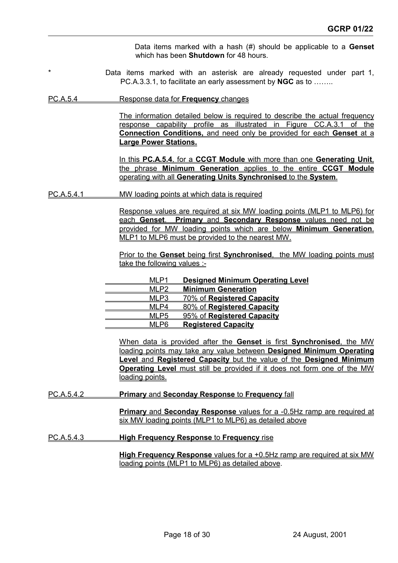Data items marked with a hash (#) should be applicable to a **Genset** which has been **Shutdown** for 48 hours.

Data items marked with an asterisk are already requested under part 1, PC.A.3.3.1, to facilitate an early assessment by **NGC** as to ……..

#### PC.A.5.4 Response data for **Frequency** changes

The information detailed below is required to describe the actual frequency response capability profile as illustrated in Figure CC.A.3.1 of the **Connection Conditions,** and need only be provided for each **Genset** at a **Large Power Stations.**

In this **PC.A.5.4**, for a **CCGT Module** with more than one **Generating Unit**, the phrase **Minimum Generation** applies to the entire **CCGT Module** operating with all **Generating Units Synchronised** to the **System**.

#### PC.A.5.4.1 MW loading points at which data is required

Response values are required at six MW loading points (MLP1 to MLP6) for each **Genset**. **Primary** and **Secondary Response** values need not be provided for MW loading points which are below **Minimum Generation**. MLP1 to MLP6 must be provided to the nearest MW.

Prior to the **Genset** being first **Synchronised**, the MW loading points must take the following values :-

|  | <b>Designed Minimum Operating Level</b> |
|--|-----------------------------------------|
|  | <b>Minimum Generation</b>               |
|  | 70% of Registered Capacity              |
|  | 80% of Registered Capacity              |
|  | 95% of Registered Capacity              |
|  | <b>Registered Capacity</b>              |
|  |                                         |

When data is provided after the **Genset** is first **Synchronised**, the MW loading points may take any value between **Designed Minimum Operating Level** and **Registered Capacity** but the value of the **Designed Minimum Operating Level** must still be provided if it does not form one of the MW loading points.

#### PC.A.5.4.2 **Primary** and **Seconday Response** to **Frequency** fall

**Primary** and **Seconday Response** values for a -0.5Hz ramp are required at six MW loading points (MLP1 to MLP6) as detailed above

#### PC.A.5.4.3 **High Frequency Response** to **Frequency** rise

**High Frequency Response** values for a +0.5Hz ramp are required at six MW loading points (MLP1 to MLP6) as detailed above.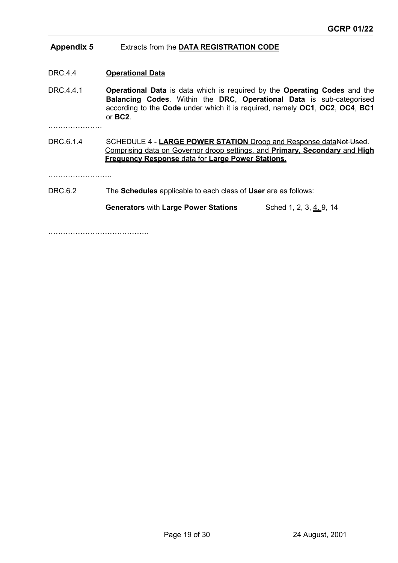# **Appendix 5** Extracts from the **DATA REGISTRATION CODE**

DRC.4.4 **Operational Data**

DRC.4.4.1 **Operational Data** is data which is required by the **Operating Codes** and the **Balancing Codes**. Within the **DRC**, **Operational Data** is sub-categorised according to the **Code** under which it is required, namely **OC1**, **OC2**, **OC4**, **BC1** or **BC2**.

………………….

DRC.6.1.4 SCHEDULE 4 - **LARGE POWER STATION** Droop and Response dataNot Used. Comprising data on Governor droop settings, and **Primary, Secondary** and **High Frequency Response** data for **Large Power Stations**.

……………………..

## DRC.6.2 The **Schedules** applicable to each class of **User** are as follows:

**Generators** with Large Power Stations Sched 1, 2, 3, 4, 9, 14

………………………………………………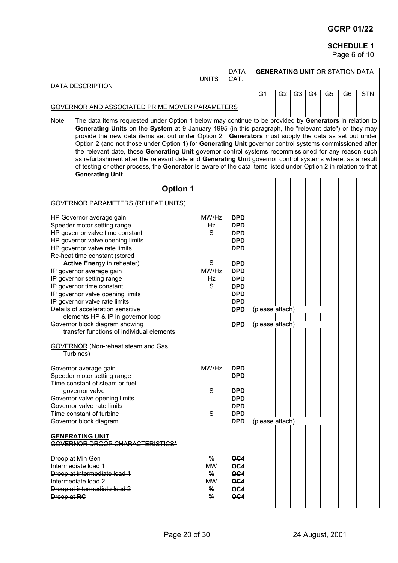# **SCHEDULE 1**

Page 6 of 10

| <b>DATA DESCRIPTION</b>                                                                                                                                                                                                                                                                                                                                                                                                                                                                                                                                                                                                                                                                                                                                                                                      | <b>UNITS</b>                                                                      | <b>DATA</b><br>CAT.                                                                                          | <b>GENERATING UNIT OR STATION DATA</b> |                |                |                |                |                |            |
|--------------------------------------------------------------------------------------------------------------------------------------------------------------------------------------------------------------------------------------------------------------------------------------------------------------------------------------------------------------------------------------------------------------------------------------------------------------------------------------------------------------------------------------------------------------------------------------------------------------------------------------------------------------------------------------------------------------------------------------------------------------------------------------------------------------|-----------------------------------------------------------------------------------|--------------------------------------------------------------------------------------------------------------|----------------------------------------|----------------|----------------|----------------|----------------|----------------|------------|
|                                                                                                                                                                                                                                                                                                                                                                                                                                                                                                                                                                                                                                                                                                                                                                                                              |                                                                                   |                                                                                                              | G <sub>1</sub>                         | G <sub>2</sub> | G <sub>3</sub> | G <sub>4</sub> | G <sub>5</sub> | G <sub>6</sub> | <b>STN</b> |
| GOVERNOR AND ASSOCIATED PRIME MOVER PARAMETERS                                                                                                                                                                                                                                                                                                                                                                                                                                                                                                                                                                                                                                                                                                                                                               |                                                                                   |                                                                                                              |                                        |                |                |                |                |                |            |
| The data items requested under Option 1 below may continue to be provided by Generators in relation to<br>Note:<br>Generating Units on the System at 9 January 1995 (in this paragraph, the "relevant date") or they may<br>provide the new data items set out under Option 2. Generators must supply the data as set out under<br>Option 2 (and not those under Option 1) for Generating Unit governor control systems commissioned after<br>the relevant date, those Generating Unit governor control systems recommissioned for any reason such<br>as refurbishment after the relevant date and Generating Unit governor control systems where, as a result<br>of testing or other process, the Generator is aware of the data items listed under Option 2 in relation to that<br><b>Generating Unit.</b> |                                                                                   |                                                                                                              |                                        |                |                |                |                |                |            |
| <b>Option 1</b>                                                                                                                                                                                                                                                                                                                                                                                                                                                                                                                                                                                                                                                                                                                                                                                              |                                                                                   |                                                                                                              |                                        |                |                |                |                |                |            |
| <b>GOVERNOR PARAMETERS (REHEAT UNITS)</b>                                                                                                                                                                                                                                                                                                                                                                                                                                                                                                                                                                                                                                                                                                                                                                    |                                                                                   |                                                                                                              |                                        |                |                |                |                |                |            |
| HP Governor average gain<br>Speeder motor setting range<br>HP governor valve time constant<br>HP governor valve opening limits<br>HP governor valve rate limits<br>Re-heat time constant (stored                                                                                                                                                                                                                                                                                                                                                                                                                                                                                                                                                                                                             | MW/Hz<br><b>Hz</b><br>S                                                           | <b>DPD</b><br><b>DPD</b><br><b>DPD</b><br><b>DPD</b><br><b>DPD</b>                                           |                                        |                |                |                |                |                |            |
| Active Energy in reheater)<br>IP governor average gain<br>IP governor setting range<br>IP governor time constant<br>IP governor valve opening limits<br>IP governor valve rate limits<br>Details of acceleration sensitive<br>elements HP & IP in governor loop<br>Governor block diagram showing<br>transfer functions of individual elements                                                                                                                                                                                                                                                                                                                                                                                                                                                               | S<br>MW/Hz<br>Hz<br>S.                                                            | <b>DPD</b><br><b>DPD</b><br><b>DPD</b><br><b>DPD</b><br><b>DPD</b><br><b>DPD</b><br><b>DPD</b><br><b>DPD</b> | (please attach)<br>(please attach)     |                |                |                |                |                |            |
| <b>GOVERNOR</b> (Non-reheat steam and Gas<br>Turbines)                                                                                                                                                                                                                                                                                                                                                                                                                                                                                                                                                                                                                                                                                                                                                       |                                                                                   |                                                                                                              |                                        |                |                |                |                |                |            |
| Governor average gain<br>Speeder motor setting range<br>Time constant of steam or fuel<br>governor valve<br>Governor valve opening limits<br>Governor valve rate limits<br>Time constant of turbine<br>Governor block diagram                                                                                                                                                                                                                                                                                                                                                                                                                                                                                                                                                                                | MW/Hz<br>S<br>S                                                                   | <b>DPD</b><br><b>DPD</b><br><b>DPD</b><br><b>DPD</b><br><b>DPD</b><br><b>DPD</b><br><b>DPD</b>               | (please attach)                        |                |                |                |                |                |            |
| <b>GENERATING UNIT</b><br><b>GOVERNOR DROOP CHARACTERISTICS*</b>                                                                                                                                                                                                                                                                                                                                                                                                                                                                                                                                                                                                                                                                                                                                             |                                                                                   |                                                                                                              |                                        |                |                |                |                |                |            |
| Droop at Min Gen<br>Intermediate load 1<br>Droop at intermediate load 1<br>Intermediate load 2<br>Droop at intermediate load 2<br>Droop at RC                                                                                                                                                                                                                                                                                                                                                                                                                                                                                                                                                                                                                                                                | $\frac{0}{6}$<br><b>MW</b><br>$\%$<br><b>MW</b><br>$\frac{0}{6}$<br>$\frac{9}{6}$ | O <sub>C</sub> 4<br>OC4<br>OC4<br>OC4<br>OC4<br>OC4                                                          |                                        |                |                |                |                |                |            |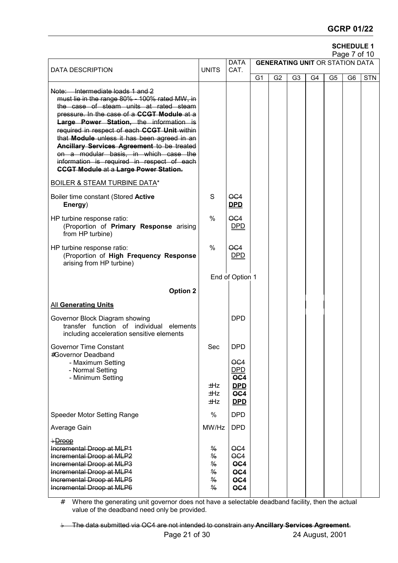# **GCRP 01/22**

# **SCHEDULE 1**

|                                                                                                                                                                                                                                                                                                                                                                                                                                                                                                           |                                                                                                    |                                                                                      |                |                                        |                |    |                | Page 7 of 10   |            |  |  |
|-----------------------------------------------------------------------------------------------------------------------------------------------------------------------------------------------------------------------------------------------------------------------------------------------------------------------------------------------------------------------------------------------------------------------------------------------------------------------------------------------------------|----------------------------------------------------------------------------------------------------|--------------------------------------------------------------------------------------|----------------|----------------------------------------|----------------|----|----------------|----------------|------------|--|--|
| <b>DATA DESCRIPTION</b>                                                                                                                                                                                                                                                                                                                                                                                                                                                                                   | <b>UNITS</b>                                                                                       | <b>DATA</b><br>CAT.                                                                  |                | <b>GENERATING UNIT OR STATION DATA</b> |                |    |                |                |            |  |  |
|                                                                                                                                                                                                                                                                                                                                                                                                                                                                                                           |                                                                                                    |                                                                                      | G <sub>1</sub> | G <sub>2</sub>                         | G <sub>3</sub> | G4 | G <sub>5</sub> | G <sub>6</sub> | <b>STN</b> |  |  |
| Note: Intermediate loads 1 and 2<br>must lie in the range 80% - 100% rated MW, in<br>the case of steam units at rated steam<br>pressure. In the case of a CCGT Module at a<br>Large Power Station, the information is<br>required in respect of each CCGT Unit within<br>that Module unless it has been agreed in an<br>Ancillary Services Agreement to be treated<br>on a modular basis, in which case the<br>information is required in respect of each<br><b>CCGT Module at a Large Power Station.</b> |                                                                                                    |                                                                                      |                |                                        |                |    |                |                |            |  |  |
| <b>BOILER &amp; STEAM TURBINE DATA*</b>                                                                                                                                                                                                                                                                                                                                                                                                                                                                   |                                                                                                    |                                                                                      |                |                                        |                |    |                |                |            |  |  |
| Boiler time constant (Stored Active<br>Energy)                                                                                                                                                                                                                                                                                                                                                                                                                                                            | S                                                                                                  | O <sub>G4</sub><br><b>DPD</b>                                                        |                |                                        |                |    |                |                |            |  |  |
| HP turbine response ratio:<br>(Proportion of Primary Response arising<br>from HP turbine)                                                                                                                                                                                                                                                                                                                                                                                                                 | %                                                                                                  | OC4<br><b>DPD</b>                                                                    |                |                                        |                |    |                |                |            |  |  |
| HP turbine response ratio:<br>(Proportion of High Frequency Response<br>arising from HP turbine)                                                                                                                                                                                                                                                                                                                                                                                                          | $\frac{0}{0}$                                                                                      | OC4<br><u>DPD</u>                                                                    |                |                                        |                |    |                |                |            |  |  |
|                                                                                                                                                                                                                                                                                                                                                                                                                                                                                                           |                                                                                                    | End of Option 1                                                                      |                |                                        |                |    |                |                |            |  |  |
| <b>Option 2</b>                                                                                                                                                                                                                                                                                                                                                                                                                                                                                           |                                                                                                    |                                                                                      |                |                                        |                |    |                |                |            |  |  |
| <b>All Generating Units</b>                                                                                                                                                                                                                                                                                                                                                                                                                                                                               |                                                                                                    |                                                                                      |                |                                        |                |    |                |                |            |  |  |
| Governor Block Diagram showing<br>transfer function of individual elements<br>including acceleration sensitive elements                                                                                                                                                                                                                                                                                                                                                                                   |                                                                                                    | <b>DPD</b>                                                                           |                |                                        |                |    |                |                |            |  |  |
| <b>Governor Time Constant</b><br>#Governor Deadband                                                                                                                                                                                                                                                                                                                                                                                                                                                       | Sec                                                                                                | <b>DPD</b>                                                                           |                |                                        |                |    |                |                |            |  |  |
| - Maximum Setting<br>- Normal Setting<br>- Minimum Setting                                                                                                                                                                                                                                                                                                                                                                                                                                                | ±Hz<br>±Hz<br>±Hz                                                                                  | O <sub>G4</sub><br><b>DPD</b><br>OC4<br><u>DPD</u><br>$\overline{OC4}$<br><u>DPD</u> |                |                                        |                |    |                |                |            |  |  |
| Speeder Motor Setting Range                                                                                                                                                                                                                                                                                                                                                                                                                                                                               | %                                                                                                  | <b>DPD</b>                                                                           |                |                                        |                |    |                |                |            |  |  |
| Average Gain                                                                                                                                                                                                                                                                                                                                                                                                                                                                                              | MW/Hz                                                                                              | <b>DPD</b>                                                                           |                |                                        |                |    |                |                |            |  |  |
| +Droop<br>Incremental Droop at MLP1<br>Incremental Droop at MLP2<br>Incremental Droop at MLP3<br>Incremental Droop at MLP4<br>Incremental Droop at MLP5<br>Incremental Droop at MLP6                                                                                                                                                                                                                                                                                                                      | $\frac{9}{6}$<br>$\frac{0}{6}$<br>$\frac{0}{0}$<br>$\frac{0}{6}$<br>$\frac{0}{6}$<br>$\frac{9}{6}$ | O <sub>G4</sub><br>O <sub>G4</sub><br>OC4<br>OC4<br>OC4<br>OC4                       |                |                                        |                |    |                |                |            |  |  |

# Where the generating unit governor does not have a selectable deadband facility, then the actual value of the deadband need only be provided.

The data submitted via OC4 are not intended to constrain any **Ancillary Services Agreement**.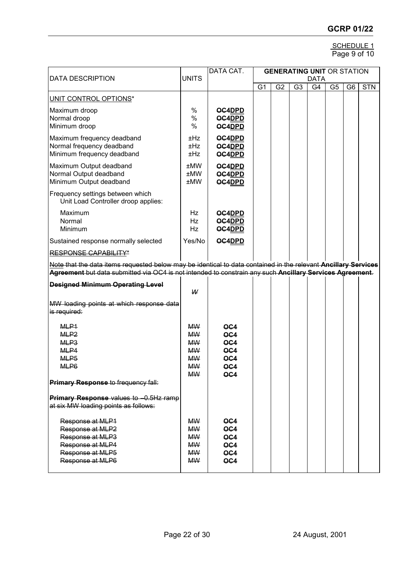#### SCHEDULE 1 Page 9 of 10

| <b>DATA DESCRIPTION</b>                                                                                              | <b>UNITS</b>                                                                            | <b>GENERATING UNIT OR STATION</b><br><b>DATA</b>   |                |                |                |    |                |                |            |
|----------------------------------------------------------------------------------------------------------------------|-----------------------------------------------------------------------------------------|----------------------------------------------------|----------------|----------------|----------------|----|----------------|----------------|------------|
|                                                                                                                      |                                                                                         |                                                    | G <sub>1</sub> | G <sub>2</sub> | G <sub>3</sub> | G4 | G <sub>5</sub> | G <sub>6</sub> | <b>STN</b> |
| UNIT CONTROL OPTIONS*                                                                                                |                                                                                         |                                                    |                |                |                |    |                |                |            |
| Maximum droop<br>Normal droop<br>Minimum droop                                                                       | $\%$<br>$\%$<br>$\%$                                                                    | OC4DPD<br>OC4DPD<br>OC4DPD                         |                |                |                |    |                |                |            |
| Maximum frequency deadband<br>Normal frequency deadband<br>Minimum frequency deadband                                | ±Hz<br>±Hz<br>±Hz                                                                       | OC4DPD<br>OC4DPD<br>OC4DPD                         |                |                |                |    |                |                |            |
| Maximum Output deadband<br>Normal Output deadband<br>Minimum Output deadband                                         | ±MW<br>±MW<br>±MW                                                                       | OC4DPD<br>OC4DPD<br>OC4DPD                         |                |                |                |    |                |                |            |
| Frequency settings between which<br>Unit Load Controller droop applies:                                              |                                                                                         |                                                    |                |                |                |    |                |                |            |
| Maximum<br>Normal<br>Minimum                                                                                         | Hz<br>Hz<br>Hz                                                                          | OC4DPD<br>OC4DPD<br>OC4DPD                         |                |                |                |    |                |                |            |
| Sustained response normally selected                                                                                 | Yes/No                                                                                  | OC4DPD                                             |                |                |                |    |                |                |            |
| RESPONSE CAPABILITY*                                                                                                 |                                                                                         |                                                    |                |                |                |    |                |                |            |
| Note that the data items requested below may be identical to data contained in the relevant Ancillary Services       |                                                                                         |                                                    |                |                |                |    |                |                |            |
| Agreement but data submitted via OC4 is not intended to constrain any such Ancillary Services Agreement.             |                                                                                         |                                                    |                |                |                |    |                |                |            |
| <b>Designed Minimum Operating Level</b>                                                                              | W                                                                                       |                                                    |                |                |                |    |                |                |            |
| MW loading points at which response data<br>is required:                                                             |                                                                                         |                                                    |                |                |                |    |                |                |            |
| MLP <sub>1</sub><br>MLP <sub>2</sub><br>MLP <sub>3</sub><br>MLP4<br>MLP <sub>5</sub><br>MLP6                         | <b>MW</b><br><b>MW</b><br><b>MW</b><br><b>MW</b><br><b>MW</b><br><b>MW</b><br><b>MW</b> | OC4<br>OC4<br>OC4<br>OC4<br>OC4<br>OC4<br>OC4      |                |                |                |    |                |                |            |
| Primary Response to frequency fall:                                                                                  |                                                                                         |                                                    |                |                |                |    |                |                |            |
| Primary Response values to -0.5Hz ramp<br>at six MW loading points as follows:                                       |                                                                                         |                                                    |                |                |                |    |                |                |            |
| Response at MLP1<br>Response at MLP2<br>Response at MLP3<br>Response at MLP4<br>Response at MLP5<br>Response at MLP6 | <b>MW</b><br><b>MW</b><br><b>MW</b><br><b>MW</b><br><b>MW</b><br><b>MW</b>              | OC4<br>OC4<br>OC4<br>OC4<br>OC4<br>O <sub>G4</sub> |                |                |                |    |                |                |            |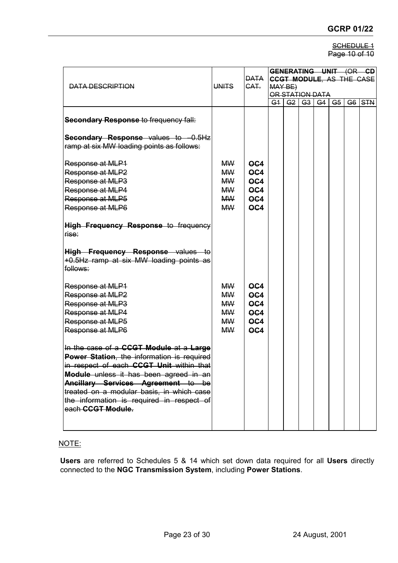#### SCHEDULE<sub>1</sub> Page 10 of 10

| DATA DESCRIPTION                                                                                                                                                                                                                                                                                                                 | <b>UNITS</b>                                                               | <b>DATA</b><br>CAT.                                                                    | GENERATING UNIT (OR CD<br><b>CCGT MODULE, AS THE CASE</b><br>MAY BE)<br>OR STATION DATA<br>G3 G4 |                |  |  |        |
|----------------------------------------------------------------------------------------------------------------------------------------------------------------------------------------------------------------------------------------------------------------------------------------------------------------------------------|----------------------------------------------------------------------------|----------------------------------------------------------------------------------------|--------------------------------------------------------------------------------------------------|----------------|--|--|--------|
| <b>Secondary Response to frequency fall:</b><br>Secondary Response values to -0.5Hz<br>ramp at six MW loading points as follows:                                                                                                                                                                                                 |                                                                            |                                                                                        | G <sub>1</sub>                                                                                   | G <sub>2</sub> |  |  | G6 STN |
| Response at MLP1<br>Response at MLP2<br>Response at MLP3<br>Response at MLP4<br>Response at MLP5                                                                                                                                                                                                                                 | <b>MW</b><br><b>MW</b><br><b>MW</b><br><b>MW</b><br><b>MW</b>              | OC4<br>OC4<br>OC <sub>4</sub><br>OC4<br>OC4                                            |                                                                                                  |                |  |  |        |
| Response at MLP6<br><b>High Frequency Response to frequency</b><br>rise:                                                                                                                                                                                                                                                         | <b>MW</b>                                                                  | O <sub>G4</sub>                                                                        |                                                                                                  |                |  |  |        |
| High Frequency Response values to<br>+0.5Hz ramp at six MW loading points as<br>follows:                                                                                                                                                                                                                                         |                                                                            |                                                                                        |                                                                                                  |                |  |  |        |
| Response at MLP1<br>Response at MLP2<br>Response at MLP3<br>Response at MLP4<br>Response at MLP5<br>Response at MLP6                                                                                                                                                                                                             | <b>MW</b><br><b>MW</b><br><b>MW</b><br><b>MW</b><br><b>MW</b><br><b>MW</b> | O <sub>C4</sub><br>O <sub>C4</sub><br>O <sub>C4</sub><br>OC <sub>4</sub><br>OC4<br>OC4 |                                                                                                  |                |  |  |        |
| In the case of a CCGT Module at a Large<br>Power Station, the information is required<br>in respect of each CCGT Unit within that<br>Module unless it has been agreed in an<br>Ancillary Services Agreement to be<br>treated on a modular basis, in which case<br>the information is required in respect of<br>each CCGT Module. |                                                                            |                                                                                        |                                                                                                  |                |  |  |        |

# NOTE:

**Users** are referred to Schedules 5 & 14 which set down data required for all **Users** directly connected to the **NGC Transmission System**, including **Power Stations**.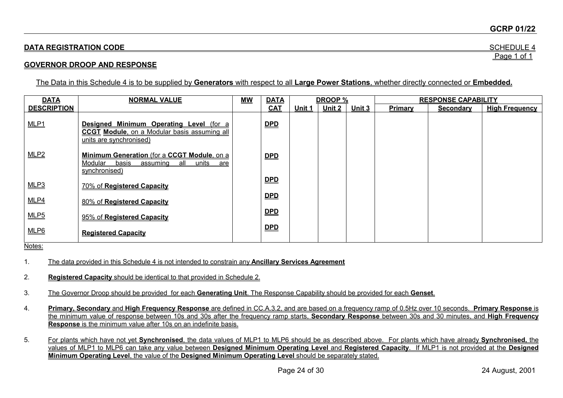#### **GCRP 01/22**

# **DATA REGISTRATION CODE** SCHEDULE 4 Page 1 of 1

### **GOVERNOR DROOP AND RESPONSE**

The Data in this Schedule 4 is to be supplied by **Generators** with respect to all **Large Power Stations**, whether directly connected or **Embedded.**

| <b>DATA</b>        | <b>NORMAL VALUE</b>                                                                                                        | $\underline{\mathsf{MW}}$ | <b>DATA</b> |        | DROOP % |        |         | <b>RESPONSE CAPABILITY</b> |                       |
|--------------------|----------------------------------------------------------------------------------------------------------------------------|---------------------------|-------------|--------|---------|--------|---------|----------------------------|-----------------------|
| <b>DESCRIPTION</b> |                                                                                                                            |                           | <b>CAT</b>  | Unit 1 | Unit 2  | Unit 3 | Primary | <b>Secondary</b>           | <b>High Frequency</b> |
| MLP <sub>1</sub>   | Designed Minimum Operating Level (for a<br><b>CCGT Module, on a Modular basis assuming all</b><br>units are synchronised)  |                           | <b>DPD</b>  |        |         |        |         |                            |                       |
| MLP2               | <b>Minimum Generation (for a CCGT Module, on a</b><br>Modular<br>units<br>basis<br>assuming<br>all<br>are<br>synchronised) |                           | <u>DPD</u>  |        |         |        |         |                            |                       |
| MLP3               | 70% of Registered Capacity                                                                                                 |                           | <u>DPD</u>  |        |         |        |         |                            |                       |
| <b>MLP4</b>        | 80% of Registered Capacity                                                                                                 |                           | $DPD$       |        |         |        |         |                            |                       |
| MLP <sub>5</sub>   | 95% of Registered Capacity                                                                                                 |                           | <u>DPD</u>  |        |         |        |         |                            |                       |
| MLP6               | <b>Registered Capacity</b>                                                                                                 |                           | <u>DPD</u>  |        |         |        |         |                            |                       |

Notes:

1. The data provided in this Schedule 4 is not intended to constrain any **Ancillary Services Agreement**

2. **Registered Capacity** should be identical to that provided in Schedule 2.

3. The Governor Droop should be provided for each **Generating Unit**. The Response Capability should be provided for each **Genset**.

4. **Primary, Secondary** and **High Frequency Response** are defined in CC.A.3.2, and are based on a frequency ramp of 0.5Hz over 10 seconds. **Primary Response** is the minimum value of response between 10s and 30s after the frequency ramp starts, **Secondary Response** between 30s and 30 minutes, and **High Frequency Response** is the minimum value after 10s on an indefinite basis.

5. For plants which have not yet **Synchronised**, the data values of MLP1 to MLP6 should be as described above. For plants which have already **Synchronised,** the values of MLP1 to MLP6 can take any value between **Designed Minimum Operating Level** and **Registered Capacity**. If MLP1 is not provided at the **Designed Minimum Operating Level**, the value of the **Designed Minimum Operating Level** should be separately stated.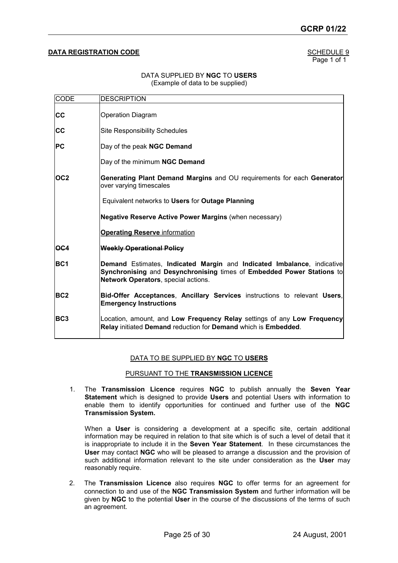#### **DATA REGISTRATION CODE SCHEDULE 9**

Page 1 of 1

#### DATA SUPPLIED BY **NGC** TO **USERS** (Example of data to be supplied)

| <b>CODE</b>     | <b>DESCRIPTION</b>                                                                                                                                                                     |
|-----------------|----------------------------------------------------------------------------------------------------------------------------------------------------------------------------------------|
| <b>CC</b>       | <b>Operation Diagram</b>                                                                                                                                                               |
| <b>CC</b>       | <b>Site Responsibility Schedules</b>                                                                                                                                                   |
| <b>PC</b>       | Day of the peak NGC Demand                                                                                                                                                             |
|                 | Day of the minimum NGC Demand                                                                                                                                                          |
| OC2             | Generating Plant Demand Margins and OU requirements for each Generator<br>over varying timescales                                                                                      |
|                 | Equivalent networks to Users for Outage Planning                                                                                                                                       |
|                 | <b>Negative Reserve Active Power Margins (when necessary)</b>                                                                                                                          |
|                 | <b>Operating Reserve information</b>                                                                                                                                                   |
| <b>OC4</b>      | <b>Weekly Operational Policy</b>                                                                                                                                                       |
| <b>BC1</b>      | Demand Estimates, Indicated Margin and Indicated Imbalance, indicative<br>Synchronising and Desynchronising times of Embedded Power Stations to<br>Network Operators, special actions. |
| BC <sub>2</sub> | Bid-Offer Acceptances, Ancillary Services instructions to relevant Users,<br><b>Emergency Instructions</b>                                                                             |
| BC <sub>3</sub> | Location, amount, and Low Frequency Relay settings of any Low Frequency<br>Relay initiated Demand reduction for Demand which is Embedded.                                              |

#### DATA TO BE SUPPLIED BY **NGC** TO **USERS**

#### PURSUANT TO THE **TRANSMISSION LICENCE**

1. The **Transmission Licence** requires **NGC** to publish annually the **Seven Year Statement** which is designed to provide **Users** and potential Users with information to enable them to identify opportunities for continued and further use of the **NGC Transmission System.**

When a **User** is considering a development at a specific site, certain additional information may be required in relation to that site which is of such a level of detail that it is inappropriate to include it in the **Seven Year Statement**. In these circumstances the **User** may contact **NGC** who will be pleased to arrange a discussion and the provision of such additional information relevant to the site under consideration as the **User** may reasonably require.

2. The **Transmission Licence** also requires **NGC** to offer terms for an agreement for connection to and use of the **NGC Transmission System** and further information will be given by **NGC** to the potential **User** in the course of the discussions of the terms of such an agreement.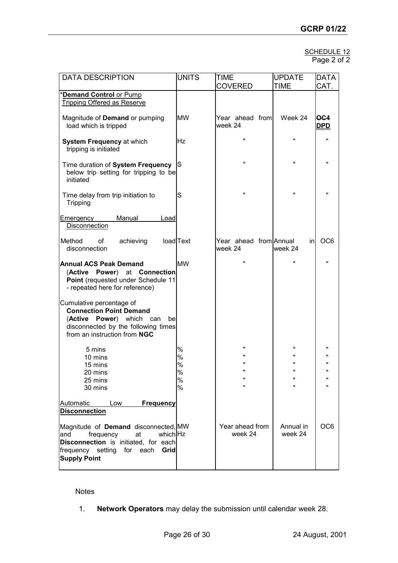| SCHEDULE 12 |  |
|-------------|--|
| Page 2 of 2 |  |

| <b>DATA DESCRIPTION</b>                                                                                                                                                         | <b>UNITS</b>                  | TIME<br><b>COVERED</b>                                                 | <b>UPDATE</b><br><b>TIME</b>                                 | <b>DATA</b><br>CAT.                                                     |
|---------------------------------------------------------------------------------------------------------------------------------------------------------------------------------|-------------------------------|------------------------------------------------------------------------|--------------------------------------------------------------|-------------------------------------------------------------------------|
| <b>Demand Control or Pump</b><br><b>Tripping Offered as Reserve</b>                                                                                                             |                               |                                                                        |                                                              |                                                                         |
| Magnitude of Demand or pumping<br>load which is tripped                                                                                                                         | <b>MW</b>                     | Year ahead from<br>week 24                                             | Week 24                                                      | OC4<br><u>DPD</u>                                                       |
| <b>System Frequency at which</b><br>tripping is initiated                                                                                                                       | lHz                           | $\mathbf{u}$                                                           | $\mathbf{u}$                                                 | $\mathbf{u}$                                                            |
| Time duration of System Frequency<br>below trip setting for tripping to be<br>initiated                                                                                         | lS                            | $\pmb{\mathsf{H}}$                                                     | Ħ                                                            | $\mathbf{u}$                                                            |
| Time delay from trip initiation to<br>Tripping                                                                                                                                  | lS                            |                                                                        | π                                                            | $\pmb{\mathsf{H}}$                                                      |
| Manual<br>Load<br><b>Emergency</b><br><b>Disconnection</b>                                                                                                                      |                               |                                                                        |                                                              |                                                                         |
| Method<br>of<br>achieving<br>disconnection                                                                                                                                      | load Text                     | Year ahead from Annual<br>week 24                                      | inl<br>week 24                                               | OC <sub>6</sub>                                                         |
| <b>Annual ACS Peak Demand</b><br>(Active Power) at Connection<br>Point (requested under Schedule 11<br>- repeated here for reference)                                           | <b>MW</b>                     |                                                                        | w                                                            | $\mathbf{u}$                                                            |
| Cumulative percentage of<br><b>Connection Point Demand</b><br>(Active Power) which can<br>be<br>disconnected by the following times<br>from an instruction from NGC             |                               |                                                                        |                                                              |                                                                         |
| 5 mins<br>10 mins<br>15 mins<br>20 mins<br>25 mins<br>30 mins                                                                                                                   | %<br>%<br>$\%$<br>%<br>%<br>% | $\blacksquare$<br>$\blacksquare$<br>$\pmb{\mathsf{H}}$<br>$\mathbf{u}$ | $\mathbf{u}$<br>π<br>Ħ<br>$\pmb{\mathsf{u}}$<br>$\mathbf{u}$ | π<br>$\mathbf{u}$<br>$\mathbf{u}$<br>$\pmb{\mathsf{H}}$<br>$\mathbf{u}$ |
| Automatic<br>Low<br><b>Frequency</b><br><b>Disconnection</b>                                                                                                                    |                               |                                                                        |                                                              |                                                                         |
| Magnitude of Demand disconnected, MW<br>at<br>which Hz<br>frequency<br>and<br>Disconnection is initiated, for each<br>frequency setting for each<br>Grid<br><b>Supply Point</b> |                               | Year ahead from<br>week 24                                             | Annual in<br>week 24                                         | OC <sub>6</sub>                                                         |

Notes

1. **Network Operators** may delay the submission until calendar week 28.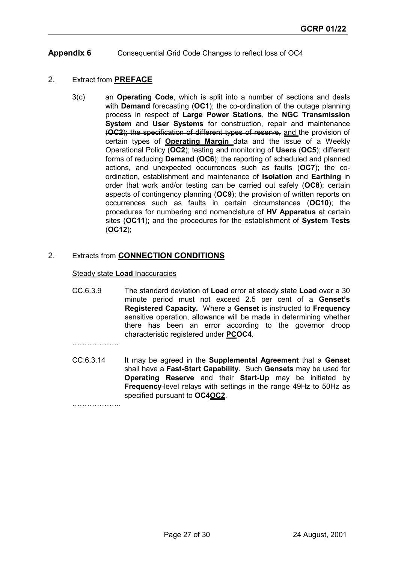# **Appendix 6** Consequential Grid Code Changes to reflect loss of OC4

# 2. Extract from **PREFACE**

3(c) an **Operating Code**, which is split into a number of sections and deals with **Demand** forecasting (**OC1**); the co-ordination of the outage planning process in respect of **Large Power Stations**, the **NGC Transmission System** and **User Systems** for construction, repair and maintenance (**OC2**); the specification of different types of reserve, and the provision of certain types of **Operating Margin** data and the issue of a Weekly Operational Policy (**OC2**); testing and monitoring of **Users** (**OC5**); different forms of reducing **Demand** (**OC6**); the reporting of scheduled and planned actions, and unexpected occurrences such as faults (**OC7**); the coordination, establishment and maintenance of **Isolation** and **Earthing** in order that work and/or testing can be carried out safely (**OC8**); certain aspects of contingency planning (**OC9**); the provision of written reports on occurrences such as faults in certain circumstances (**OC10**); the procedures for numbering and nomenclature of **HV Apparatus** at certain sites (**OC11**); and the procedures for the establishment of **System Tests** (**OC12**);

## 2. Extracts from **CONNECTION CONDITIONS**

#### Steady state **Load** Inaccuracies

CC.6.3.9 The standard deviation of **Load** error at steady state **Load** over a 30 minute period must not exceed 2.5 per cent of a **Genset's Registered Capacity.** Where a **Genset** is instructed to **Frequency** sensitive operation, allowance will be made in determining whether there has been an error according to the governor droop characteristic registered under **PCOC4**.

……………….

CC.6.3.14 It may be agreed in the **Supplemental Agreement** that a **Genset** shall have a **Fast-Start Capability**. Such **Gensets** may be used for **Operating Reserve** and their **Start-Up** may be initiated by **Frequency**-level relays with settings in the range 49Hz to 50Hz as specified pursuant to **OC4OC2**.

………………..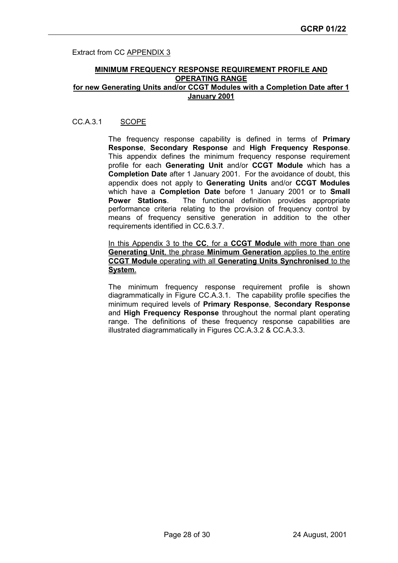Extract from CC **APPENDIX 3** 

#### **MINIMUM FREQUENCY RESPONSE REQUIREMENT PROFILE AND OPERATING RANGE for new Generating Units and/or CCGT Modules with a Completion Date after 1 January 2001**

### CC.A.3.1 SCOPE

The frequency response capability is defined in terms of **Primary Response**, **Secondary Response** and **High Frequency Response**. This appendix defines the minimum frequency response requirement profile for each **Generating Unit** and/or **CCGT Module** which has a **Completion Date** after 1 January 2001. For the avoidance of doubt, this appendix does not apply to **Generating Units** and/or **CCGT Modules** which have a **Completion Date** before 1 January 2001 or to **Small Power Stations**. The functional definition provides appropriate performance criteria relating to the provision of frequency control by means of frequency sensitive generation in addition to the other requirements identified in CC.6.3.7.

In this Appendix 3 to the **CC**, for a **CCGT Module** with more than one **Generating Unit**, the phrase **Minimum Generation** applies to the entire **CCGT Module** operating with all **Generating Units Synchronised** to the **System**.

The minimum frequency response requirement profile is shown diagrammatically in Figure CC.A.3.1. The capability profile specifies the minimum required levels of **Primary Response**, **Secondary Response** and **High Frequency Response** throughout the normal plant operating range. The definitions of these frequency response capabilities are illustrated diagrammatically in Figures CC.A.3.2 & CC.A.3.3.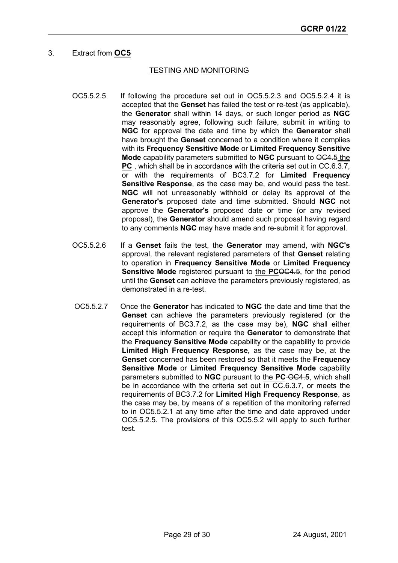# 3. Extract from **OC5**

#### TESTING AND MONITORING

- OC5.5.2.5 If following the procedure set out in OC5.5.2.3 and OC5.5.2.4 it is accepted that the **Genset** has failed the test or re-test (as applicable), the **Generator** shall within 14 days, or such longer period as **NGC** may reasonably agree, following such failure, submit in writing to **NGC** for approval the date and time by which the **Generator** shall have brought the **Genset** concerned to a condition where it complies with its **Frequency Sensitive Mode** or **Limited Frequency Sensitive Mode** capability parameters submitted to **NGC** pursuant to OC4.5 the **PC** , which shall be in accordance with the criteria set out in CC.6.3.7, or with the requirements of BC3.7.2 for **Limited Frequency Sensitive Response**, as the case may be, and would pass the test. **NGC** will not unreasonably withhold or delay its approval of the **Generator's** proposed date and time submitted. Should **NGC** not approve the **Generator's** proposed date or time (or any revised proposal), the **Generator** should amend such proposal having regard to any comments **NGC** may have made and re-submit it for approval.
- OC5.5.2.6 If a **Genset** fails the test, the **Generator** may amend, with **NGC's** approval, the relevant registered parameters of that **Genset** relating to operation in **Frequency Sensitive Mode** or **Limited Frequency Sensitive Mode** registered pursuant to the **PCOC4.5**, for the period until the **Genset** can achieve the parameters previously registered, as demonstrated in a re-test.
- OC5.5.2.7 Once the **Generator** has indicated to **NGC** the date and time that the **Genset** can achieve the parameters previously registered (or the requirements of BC3.7.2, as the case may be), **NGC** shall either accept this information or require the **Generator** to demonstrate that the **Frequency Sensitive Mode** capability or the capability to provide **Limited High Frequency Response,** as the case may be, at the **Genset** concerned has been restored so that it meets the **Frequency Sensitive Mode** or **Limited Frequency Sensitive Mode** capability parameters submitted to **NGC** pursuant to the **PC** OC4.5, which shall be in accordance with the criteria set out in CC.6.3.7, or meets the requirements of BC3.7.2 for **Limited High Frequency Response**, as the case may be, by means of a repetition of the monitoring referred to in OC5.5.2.1 at any time after the time and date approved under OC5.5.2.5. The provisions of this OC5.5.2 will apply to such further test.